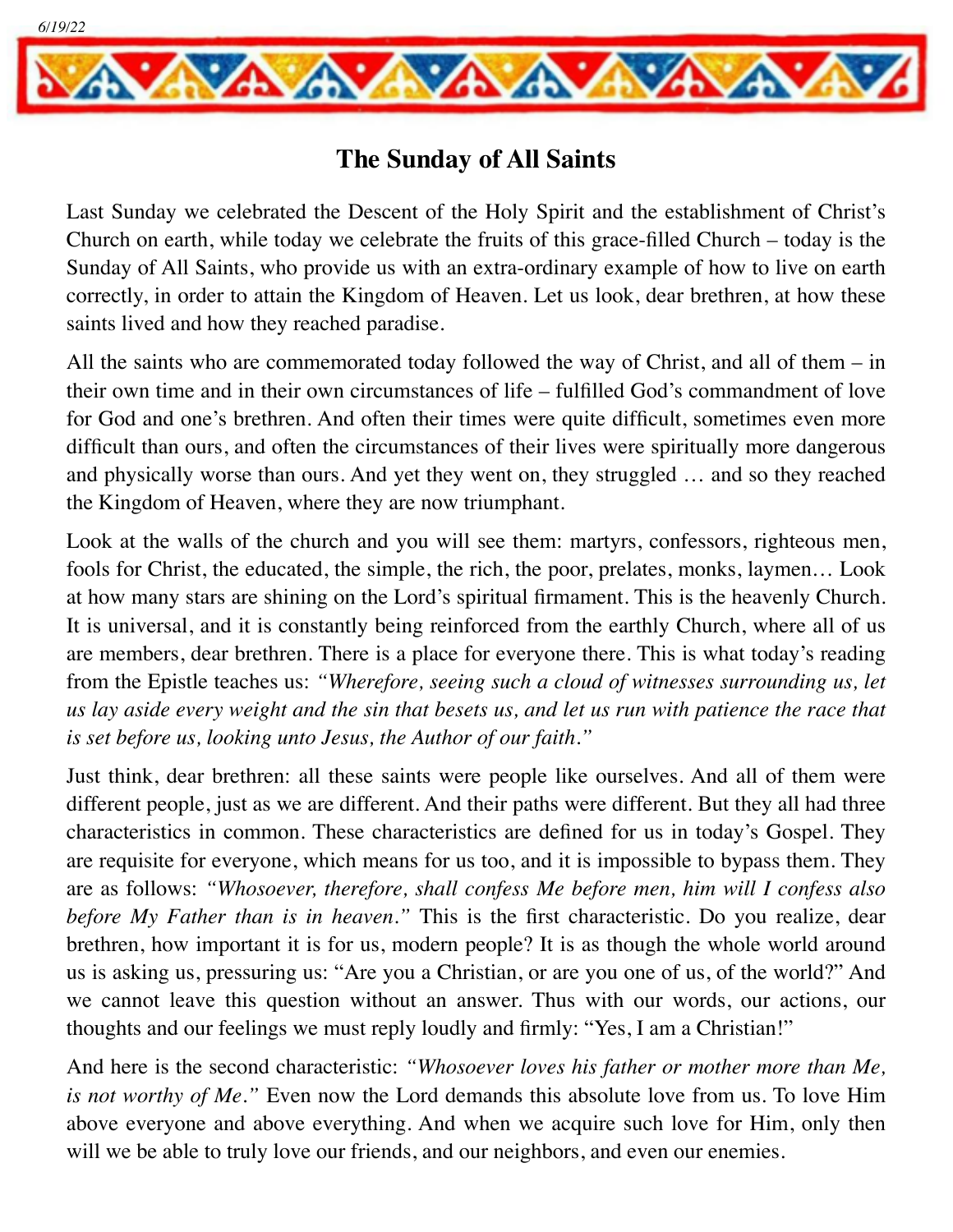

## **The Sunday of All Saints**

Last Sunday we celebrated the Descent of the Holy Spirit and the establishment of Christ's Church on earth, while today we celebrate the fruits of this grace-filled Church – today is the Sunday of All Saints, who provide us with an extra-ordinary example of how to live on earth correctly, in order to attain the Kingdom of Heaven. Let us look, dear brethren, at how these saints lived and how they reached paradise.

All the saints who are commemorated today followed the way of Christ, and all of them – in their own time and in their own circumstances of life – fulfilled God's commandment of love for God and one's brethren. And often their times were quite difficult, sometimes even more difficult than ours, and often the circumstances of their lives were spiritually more dangerous and physically worse than ours. And yet they went on, they struggled … and so they reached the Kingdom of Heaven, where they are now triumphant.

Look at the walls of the church and you will see them: martyrs, confessors, righteous men, fools for Christ, the educated, the simple, the rich, the poor, prelates, monks, laymen… Look at how many stars are shining on the Lord's spiritual firmament. This is the heavenly Church. It is universal, and it is constantly being reinforced from the earthly Church, where all of us are members, dear brethren. There is a place for everyone there. This is what today's reading from the Epistle teaches us: *"Wherefore, seeing such a cloud of witnesses surrounding us, let us lay aside every weight and the sin that besets us, and let us run with patience the race that is set before us, looking unto Jesus, the Author of our faith."*

Just think, dear brethren: all these saints were people like ourselves. And all of them were different people, just as we are different. And their paths were different. But they all had three characteristics in common. These characteristics are defined for us in today's Gospel. They are requisite for everyone, which means for us too, and it is impossible to bypass them. They are as follows: *"Whosoever, therefore, shall confess Me before men, him will I confess also before My Father than is in heaven."* This is the first characteristic. Do you realize, dear brethren, how important it is for us, modern people? It is as though the whole world around us is asking us, pressuring us: "Are you a Christian, or are you one of us, of the world?" And we cannot leave this question without an answer. Thus with our words, our actions, our thoughts and our feelings we must reply loudly and firmly: "Yes, I am a Christian!"

And here is the second characteristic: *"Whosoever loves his father or mother more than Me, is not worthy of Me."* Even now the Lord demands this absolute love from us. To love Him above everyone and above everything. And when we acquire such love for Him, only then will we be able to truly love our friends, and our neighbors, and even our enemies.